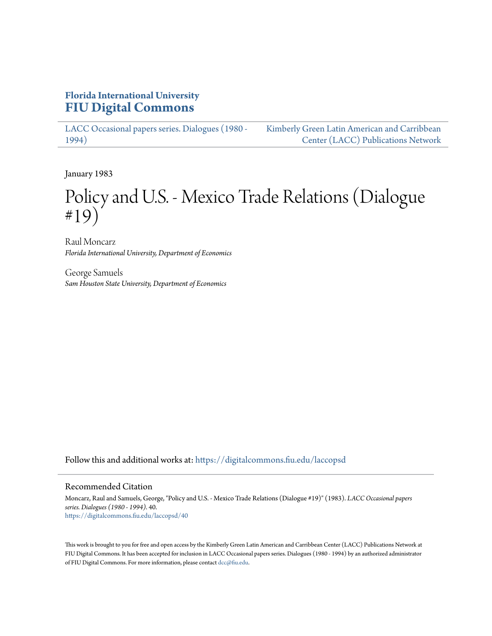# **Florida International University [FIU Digital Commons](https://digitalcommons.fiu.edu?utm_source=digitalcommons.fiu.edu%2Flaccopsd%2F40&utm_medium=PDF&utm_campaign=PDFCoverPages)**

[LACC Occasional papers series. Dialogues \(1980 -](https://digitalcommons.fiu.edu/laccopsd?utm_source=digitalcommons.fiu.edu%2Flaccopsd%2F40&utm_medium=PDF&utm_campaign=PDFCoverPages) [1994\)](https://digitalcommons.fiu.edu/laccopsd?utm_source=digitalcommons.fiu.edu%2Flaccopsd%2F40&utm_medium=PDF&utm_campaign=PDFCoverPages)

[Kimberly Green Latin American and Carribbean](https://digitalcommons.fiu.edu/laccp?utm_source=digitalcommons.fiu.edu%2Flaccopsd%2F40&utm_medium=PDF&utm_campaign=PDFCoverPages) [Center \(LACC\) Publications Network](https://digitalcommons.fiu.edu/laccp?utm_source=digitalcommons.fiu.edu%2Flaccopsd%2F40&utm_medium=PDF&utm_campaign=PDFCoverPages)

January 1983

# Policy and U.S. - Mexico Trade Relations (Dialogue #19)

Raul Moncarz *Florida International University, Department of Economics*

George Samuels *Sam Houston State University, Department of Economics*

Follow this and additional works at: [https://digitalcommons.fiu.edu/laccopsd](https://digitalcommons.fiu.edu/laccopsd?utm_source=digitalcommons.fiu.edu%2Flaccopsd%2F40&utm_medium=PDF&utm_campaign=PDFCoverPages)

#### Recommended Citation

Moncarz, Raul and Samuels, George, "Policy and U.S. - Mexico Trade Relations (Dialogue #19)" (1983). *LACC Occasional papers series. Dialogues (1980 - 1994)*. 40. [https://digitalcommons.fiu.edu/laccopsd/40](https://digitalcommons.fiu.edu/laccopsd/40?utm_source=digitalcommons.fiu.edu%2Flaccopsd%2F40&utm_medium=PDF&utm_campaign=PDFCoverPages)

This work is brought to you for free and open access by the Kimberly Green Latin American and Carribbean Center (LACC) Publications Network at FIU Digital Commons. It has been accepted for inclusion in LACC Occasional papers series. Dialogues (1980 - 1994) by an authorized administrator of FIU Digital Commons. For more information, please contact [dcc@fiu.edu](mailto:dcc@fiu.edu).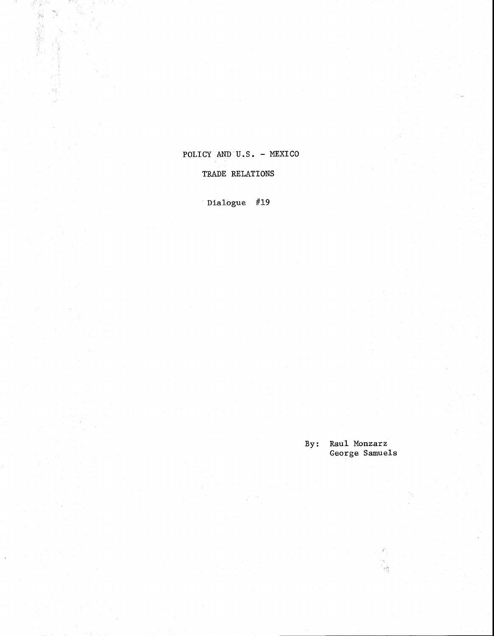# POLICY AND U.S. - MEXICO

## TRADE RELATIONS

Dialogue #19

**By: Raul Monzarz**  George Samuels

 $\psi^{\lambda}_{\lambda}$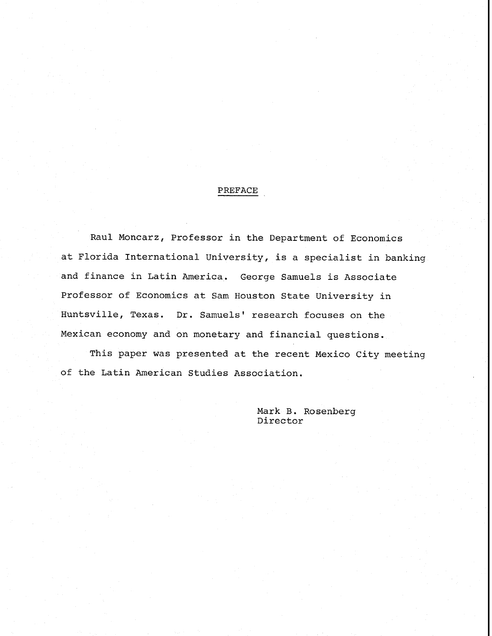# PREFACE

Raul Moncarz, Professor in the Department of Economics at Florida International University, is a specialist in banking and finance in Latin America. George Samuels is Associate Professor of Economics at Sam Houston State University in Huntsville, Texas. Dr. Samuels' research focuses on the Mexican economy and on monetary and financial questions.

This paper was presented at the recent Mexico City meeting of the Latin American Studies Association.

> Mark B. Rosenberg Director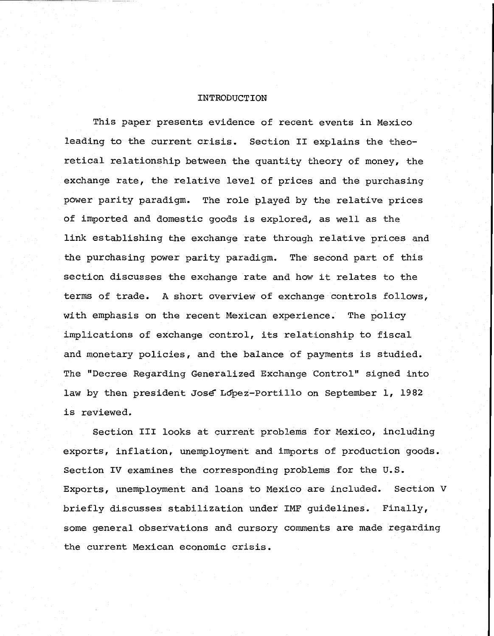#### INTRODUCTION

This paper presents evidence of recent events in Mexico leading to the current crisis, Section I1 explains the theoretical relationship between the quantity theory of money, the exchange rate, the relative level of prices and the purchasing power parity paradigm. The role played by the relative prices of imported and domestic goods is explored, as well as the link establishing the exchange rate through relative prices and the purchasing power parity paradigm. The second part of this section discusses the exchange rate and how it relates to the terms of trade. A short overview of exchange controls follows, with emphasis on the recent Mexican experience. The policy implications of exchange control, its relationship to fiscal and monetary policies, and the balance of payments is studied. The "Decree Regarding Generalized Exchange Control" signed into law by then president Jose Lopez-Portillo on September 1, 1982 is reviewed.

Section 111 looks at current problems for Mexico, including exports, inflation, unemployment and imports of production goods. Section IV examines the corresponding problems for the U.S. Exports, unemployment and loans to Mexico are included. Section V briefly discusses stabilization under IMF guidelines. Finally, some general observations and cursory comments are made regarding the current Mexican economic crisis,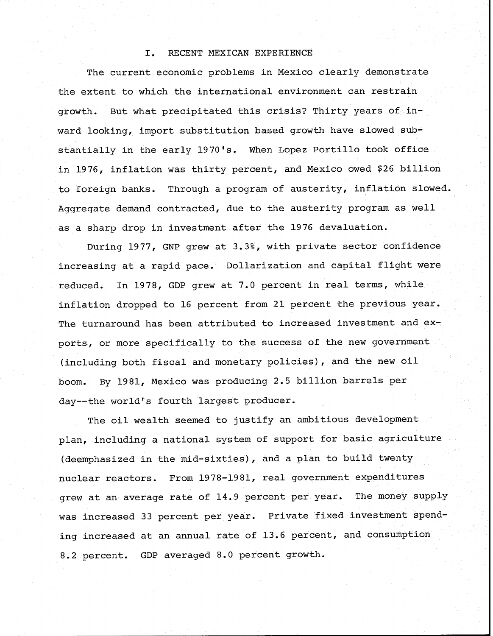## I. RECENT MEXICAN EXPERIENCE

The current economic problems in Mexico clearly demonstrate the extent to which the international environment can restrain growth. But what precipitated this crisis? Thirty years of inward looking, import substitution based growth have slowed substantially in the early 1970's. When Lopez Portillo took office in 1976, inflation was thirty percent, and Mexico owed \$26 billion to foreign banks. Through a program of austerity, inflation slowed. Aggregate demand contracted, due to the austerity program as well as a sharp drop in investment after the 1976 devaluation.

During 1977, GNP grew at 3.3%, with private sector confidence increasing at a rapid pace. Dollarization and capital flight were reduced. In 1978, GDP grew at 7.0 percent in real terms, while inflation dropped to 16 percent from 21 percent the previous year. The turnaround has been attributed to increased investment and exports, or more specifically to the success of the new government (including both fiscal and monetary policies), and the new oil boom. By 1981, Mexico was producing 2.5 billion barrels per day--the world's fourth largest producer.

The oil wealth seemed to justify an ambitious development plan, including a national system of support for basic agriculture (deemphasized in the mid-sixties) , and a plan to build twenty nuclear reactors. From 1978-1981, real government expenditures grew at an average rate of 14.9 percent per year. The money supply was increased 33 percent per year. Private fixed investment spending increased at an annual rate of 13.6 percent, and consumption 8.2 percent. GDP averaged 8.0 percent growth.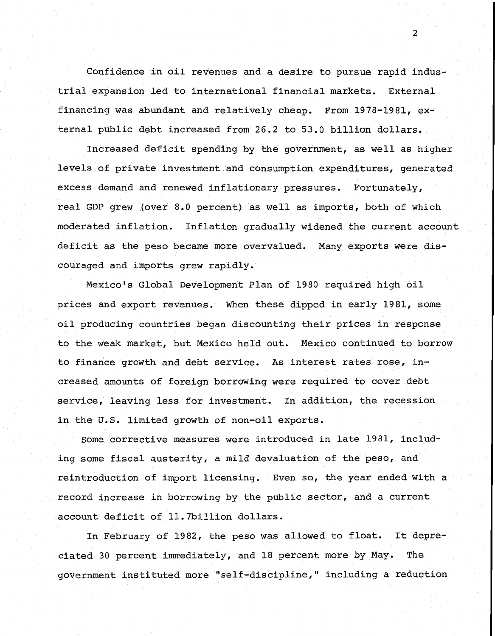Confidence in oil revenues and a desire to pursue rapid industrial expansion led to international financial markets. External financing was abundant and relatively cheap, From 1978-1981, external public debt increased from 26.2 to 53.0 billion dollars.

Increased deficit spending by the government, as well as higher levels of private investment and consumption expenditures, generated excess demand and renewed inflationary pressures. Fortunately, real GDP grew (over 8.0 percent) as well as imports, both of which moderated inflation. Inflation gradually widened the current account deficit as the peso became more overvalued. Many exports were discouraged and imports grew rapidly,

Mexico's Global Development Plan of 1980 required high oil prices and export revenues. When these dipped in early 1981, some oil producing countries began discounting their prices in response to the weak market, but Mexico held out, Mexico continued to borrow to finance growth and debt service, As interest rates rose, increased amounts of foreign borrowing were required to cover debt service, leaving less for investment. In addition, the recession in the U.S. limited growth of non-oil exports.

Some corrective measures were introduced in late 1981, including some fiscal austerity, a mild devaluation of the peso, and reintroduction of import licensing. Even so, the year ended with a record increase in borrowing by the public sector, and a current account deficit of 11.7billion dollars.

In February of 1982, the peso was allowed to float. It depreciated 30 percent immediately, and 18 percent more by May. The government instituted more "self-discipline," including a reduction

 $\overline{2}$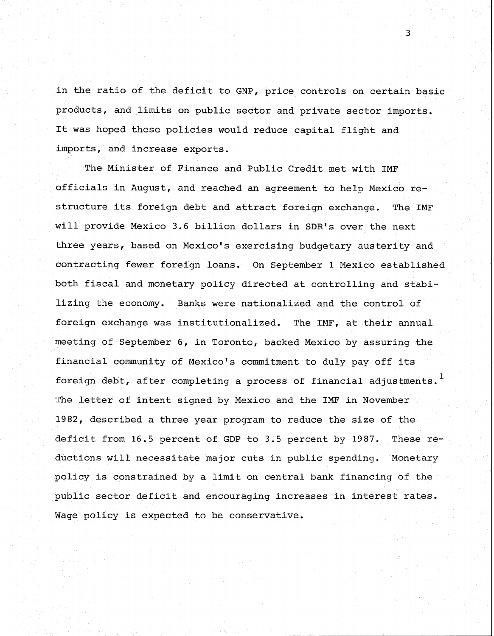in the ratio of the deficit to GNP, price controls on certain basic products, and limits on public sector and private sector imports. It was hoped these policies would reduce capital flight and imports, and increase exports.

The Minister of Finance and Public Credit met with IMF officials in August, and reached an agreement to help Mexico restructure its foreign debt and attract foreign exchange. The IMF will provide Mexico 3.6 billion dollars in SDR's over the next three years, based on Mexico's exercising budgetary austerity and contracting fewer foreign loans. On September 1 Mexico established both fiscal and monetary policy directed at controlling and stabilizing the economy. Banks were nationalized and the control of foreign exchange was institutionalized. The IMF, at their annual meeting of September 6, in Toronto, backed Mexico by assuring the financial community of Mexico's commitment to duly pay off its foreign debt, after completing a process of financial adjustments. **<sup>1</sup>** The letter of intent signed by Mexico and the IMF in November 1982, described a three year program to reduce the size of the deficit from 16.5 percent of GDP to 3.5 percent by 1987. These reductions will necessitate major cuts in public spending. Monetary policy is constrained by a limit on central bank financing of the public sector deficit and encouraging increases in interest rates. Wage policy is expected to be conservative.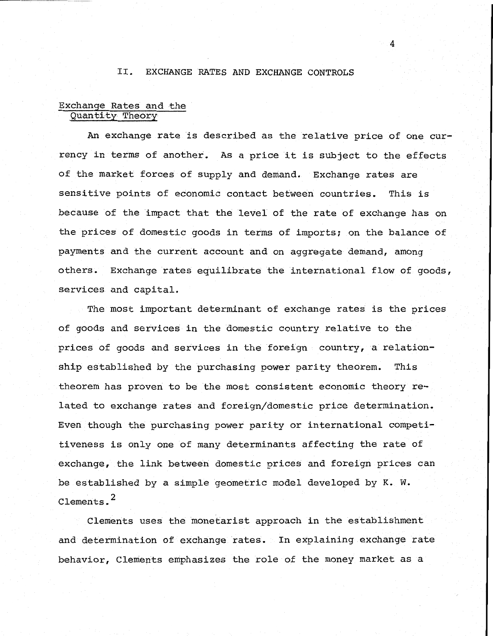#### 11. EXCHANGE RATES AND EXCHANGE CONTROLS

4

## Exchange Rates and the Quantity Theory

An exchange rate is described as the relative price of one currency in terms of another. As a price it is subject to the effects of the market forces of supply and demand. Exchange rates are sensitive points of economic contact between countries. This is because of the impact that the level of the rate of exchange has on the prices of domestic goods in terms of imports; on the balance of payments and the current account and on aggregate demand, among others. Exchange rates equilibrate the international flow of goods, services and capital.

The most important determinant of exchange rates is the prices of goods and services in the domestic country relative to the prices of goods and services in the foreign country, a relationship established by the purchasing power parity theorem. This theorem has proven to be the most consistent economic theory related to exchange rates and foreign/domestic price determination. Even though the purchasing power parity or international competitiveness is only one of many determinants affecting the rate of exchange, the link between domestic prices and foreign prices can be established by a simple geometric model developed by K. **W.**  Clements. **<sup>2</sup>**

Clements uses the monetarist approach in the establishment and determination of exchange rates. In explaining exchange rate behavior, Clements emphasizes the role of the money market as a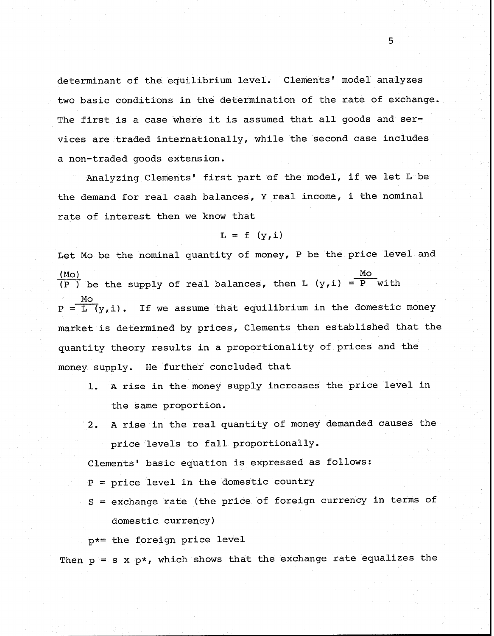determinant of the equilibrium level. Clements' model analyzes two basic conditions in the determination of the rate of exchange. The first is a case where it is assumed that all goods and services are traded internationally, while the second case includes a non-traded goods extension.

Analyzing Clements' first part of the model, if we let L be the demand for real cash balances, Y real income, i the nominal rate of interest then we know that

$$
L = f (y, i)
$$

Let Mo be the nominal quantity of money, P be the price level and rate of interest then we know that<br>  $L = f (y, i)$ <br>
Let Mo be the nominal quantity of money, P be the price<br>
(Mo)<br>
(P ) be the supply of real balances, then L (y,i) = P  $\frac{(P_1 P_1)(P_2)}{(P_1 P_2)}$  be the supply of real balances, then L  $(y, i) = P$  with Mo be the<br>  $\frac{1}{\sqrt{1-\frac{1}{2}}}$  be the s  $P = L (v, i)$ . If we assume that equilibrium in the domestic money market is determined by prices, Clements then established that the quantity theory results in a proportionality of prices and the money supply. He further concluded that

- 1. A rise in the money supply increases the price level in the same proportion.
- **2.** A rise in the real quantity of money demanded causes the price levels to fall proportionally.

Clements' basic equation is expressed as follows:

P = price level in the domestic country

S = exchange rate (the price of foreign currency in terms of domestic currency)

p\*= the foreign price level

Then  $p = s x p *$ , which shows that the exchange rate equalizes the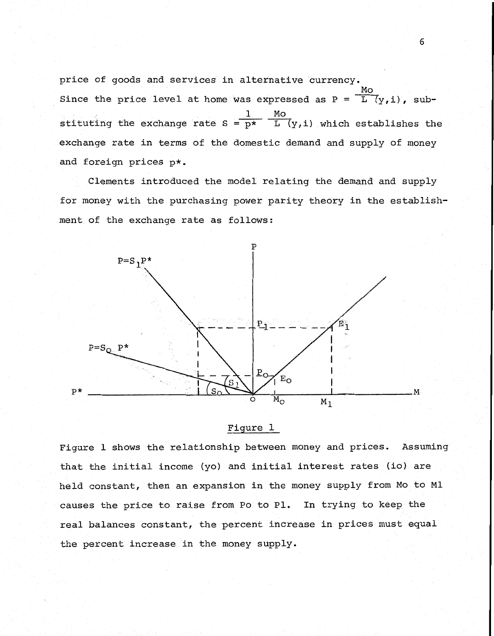price of goods and services in alternative currency. Figure of goods and services in alternative currency.<br>
Since the price level at home was expressed as  $P = \frac{M\dot{o}}{L(y,i)}$ , subalternative curves<br>as expressed as<br> $\frac{1}{p^{\star}}$   $\frac{M_O}{L_1}$   $\frac{1}{N}$   $\frac{1}{N}$ stituting the exchange rate  $S = p^*$  L  $(y, i)$  which establishes the exchange rate in terms of the domestic demand and supply of money and foreign prices p\*.

Clements introduced the model relating the demand and supply for money with the purchasing power parity theory in the establishment of the exchange rate as follows:



## Figure 1

Figure 1 shows the relationship between money and prices. Assuming that the initial income (yo) and initial interest rates (io) are held constant, then an expansion in the money supply from Mo to M1 causes the price to raise from Po to P1. In trying to keep the real balances constant, the percent increase in prices must equal the percent increase in the money supply.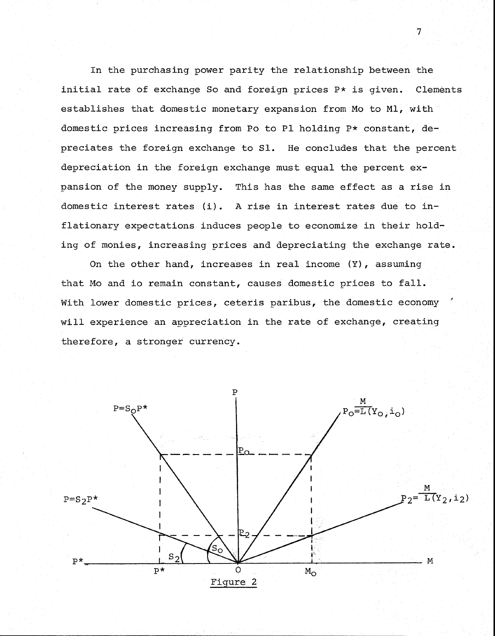In the purchasing power parity the relationship between the initial rate of exchange So and foreign prices P\* is given. Clements establishes that domestic monetary expansion from Mo to M1, with domestic prices increasing from Po to P1 holding P\* constant, depreciates the foreign exchange to S1. He concludes that the percent depreciation in the foreign exchange must equal the percent expansion of the money supply. This has the same effect as a rise in domestic interest rates (i). A rise in interest rates due to inflationary expectations induces people to economize in their holding of monies, increasing prices and depreciating the exchange rate.

On the other hand, increases in real income **(Y),** assuming that Mo and io remain constant, causes domestic prices to fall. With lower domestic prices, ceteris paribus, the domestic economy will experience an appreciation in the rate of exchange, creating therefore, a stronger currency.



 $\overline{7}$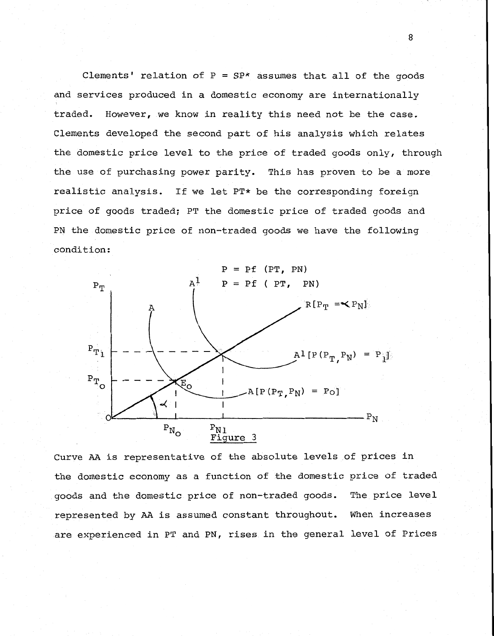Clements' relation of  $P = SP*$  assumes that all of the goods and services produced in a domestic economy are internationally traded. However, we know in reality this need not be the case. Clements developed the second part of his analysis which relates the domestic price level to the price of traded goods only, through the use of purchasing power parity. This has proven to be a more realistic analysis. If we let PT\* be the corresponding foreign price of goods traded; PT the domestic price of traded goods and PN the domestic price of non-traded goods we have the following condition:



Curve AA is representative of the absolute levels of prices in the domestic economy as a function of the domestic price of traded goods and the domestic price of non-traded goods. The price level represented by AA is assumed constant throughout. When increases are experienced in PT and PN, rises in the general level of Prices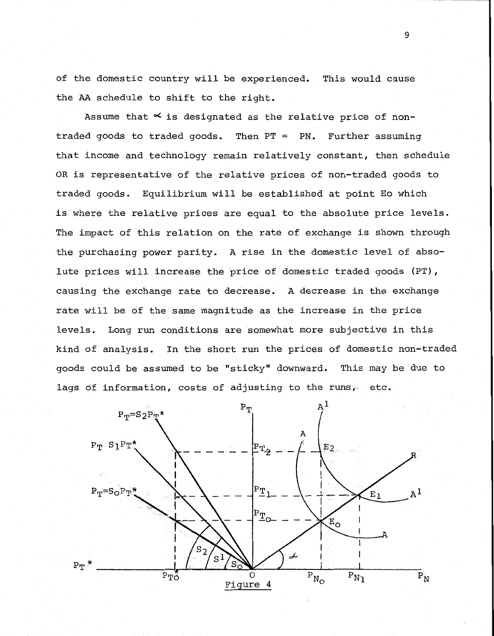of the domestic country will be experienced. This would cause the **AA** schedule to shift to the right.

Assume that  $\leq$  is designated as the relative price of nontraded goods to traded goods. Then PT = PN. Further assuming that income and technology remain relatively constant, then schedule OR is representative of the relative prices of non-traded goods to traded goods. Equilibrium will be established at point Eo which is where the relative prices are equal to the absolute price levels. The impact of this relation on the rate of exchange is shown through the purchasing power parity. A rise in the domestic level of absolute prices will increase the price of domestic traded goods (PT), causing the exchange rate to decrease. A decrease in the exchange rate will be of the same magnitude as the increase in the price levels. Long run conditions are somewhat more subjective in this kind of analysis. In the short run the prices of domestic non-traded goods could be assumed to be "sticky" downward. This may be due to lags of information, costs of adjusting to the runs, etc.

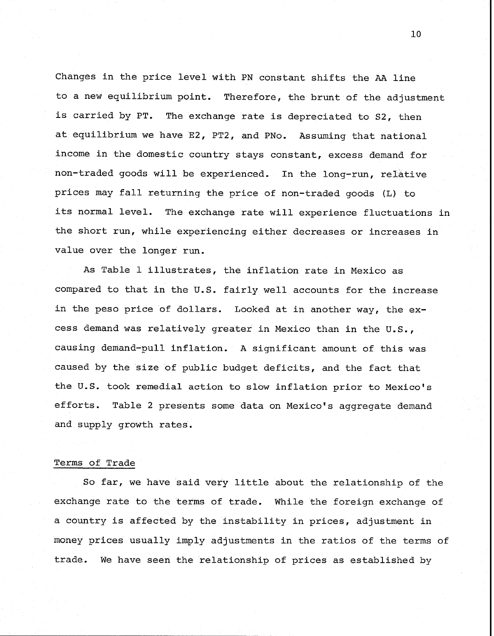Changes in the price level with PN constant shifts the **AA** line to a new equilibrium point. Therefore, the brunt of the adjustment is carried by PT. The exchange rate is depreciated to S2, then at equilibrium we have E2, PT2, and PNo. Assuming that national income in the domestic country stays constant, excess demand for non-traded goods will be experienced. In the long-run, relative prices may fall returning the price of non-traded goods (L) to its normal level. The exchange rate will experience fluctuations in the short run, while experiencing either decreases or increases in value over the longer run.

As Table 1 illustrates, the inflation rate in Mexico as compared to that in the U.S. fairly well accounts for the increase in the peso price of dollars. Looked at in another way, the excess demand was relatively greater in Mexico than in the U.S., causing demand-pull inflation. A significant amount of this was caused by the size of public budget deficits, and the fact that the U.S. took remedial action to slow inflation prior to Mexico's efforts. Table 2 presents some data on Mexico's aggregate demand and supply growth rates.

#### Terms of Trade

So far, we have said very little about the relationship of the exchange rate to the terms of trade. While the foreign exchange of a country is affected by the instability in prices, adjustment in money prices usually imply adjustments in the ratios of the terms of trade. We have seen the relationship of prices as established by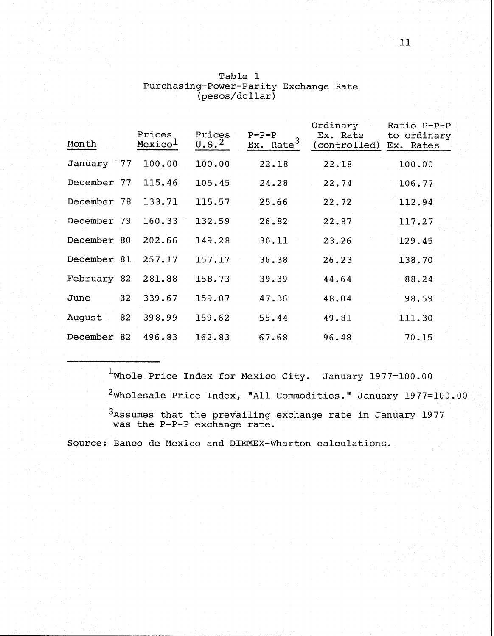| Month              |    | Prices<br>Mexico <sup>1</sup> | Prices<br>$U.S.^2$ | $P-P-P$<br>Ex. Rate <sup>3</sup> | Ordinary<br>Ex. Rate<br>(controlled) Ex. Rates | Ratio P-P-P<br>to ordinary |  |
|--------------------|----|-------------------------------|--------------------|----------------------------------|------------------------------------------------|----------------------------|--|
| January 77 100.00  |    |                               | 100.00             | 22.18                            | 22.18                                          | 100.00                     |  |
| December 77        |    | 115.46                        | 105.45             | 24.28                            | 22.74                                          | 106.77                     |  |
| December 78 133.71 |    |                               | 115.57             | 25.66                            | 22.72                                          | 112.94                     |  |
| December 79 160.33 |    |                               | 132.59             | 26.82                            | 22.87                                          | 117.27                     |  |
| December 80 202.66 |    |                               | 149.28             | 30.11                            | 23.26                                          | 129.45                     |  |
| December 81        |    | 257.17                        | 157.17             | 36.38                            | 26.23                                          | 138.70                     |  |
| February 82 281.88 |    |                               | 158.73             | 39.39                            | 44.64                                          | 88.24                      |  |
| June               | 82 | 339.67                        | 159.07             | 47.36                            | 48.04                                          | 98.59                      |  |
| August 82          |    | 398.99                        | 159.62             | 55.44                            | 49.81                                          | 111.30                     |  |
| December 82 496.83 |    |                               | 162.83             | 67.68                            | 96.48                                          | 70.15                      |  |

| Table l                               |  |
|---------------------------------------|--|
| Purchasing-Power-Parity Exchange Rate |  |
| (pesos/dollar)                        |  |

 $1$ Whole Price Index for Mexico City. January 1977=100.00  $2$ Wholesale Price Index, "All Commodities." January 1977=100.00  $^3$ Assumes that the prevailing exchange rate in January 1977 was the P-P-P exchange rate.

Source: Banco de Mexico and DIEMEX-Wharton calculations.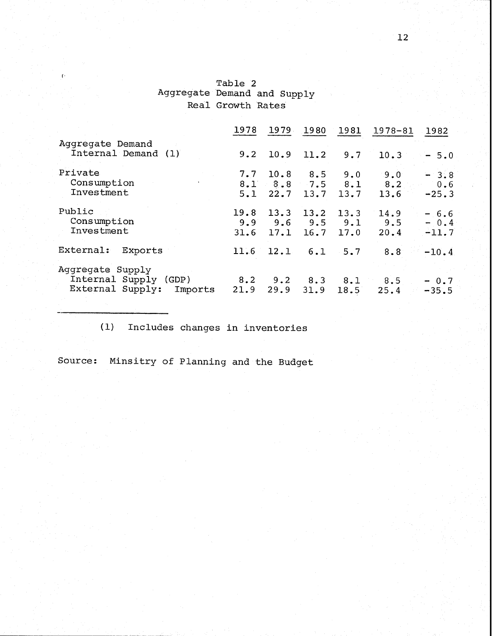# Table 2 Aggregate Demand and Supply Real Growth Rates

| $\left\{ \cdot \right\}$                                                   | Table 2<br>Aggregate Demand and Supply<br>Real Growth Rates |      |      |                      |                                                                       |                             |  |
|----------------------------------------------------------------------------|-------------------------------------------------------------|------|------|----------------------|-----------------------------------------------------------------------|-----------------------------|--|
|                                                                            | 1978                                                        | 1979 | 1980 | 1981                 | 1978-81                                                               | 1982                        |  |
| Aggregate Demand<br>Internal Demand (1)                                    | 9.2                                                         | 10.9 | 11.2 | 9.7                  | 10.3                                                                  | $-5.0$                      |  |
| Private<br>Consumption<br>Investment                                       |                                                             |      |      | $5.1$ 22.7 13.7 13.7 | $7.7$ 10.8 8.5 9.0 9.0<br>$8.1$ $8.8$ $7.5$ $8.1$ $8.2$ $0.6$<br>13.6 | $-3.8$<br>$-25.3$           |  |
| Public<br>Consumption<br>Investment                                        | 31.6                                                        |      |      | $17.1$ $16.7$ $17.0$ | $19.8$ 13.3 13.2 13.3 14.9<br>$9.9$ $9.6$ $9.5$ $9.1$ $9.5$<br>20.4   | $-6.6$<br>$-0.4$<br>$-11.7$ |  |
| External:<br>Exports                                                       | 11.6                                                        |      |      | $12.1 \t6.1 \t5.7$   | 8.8                                                                   | $-10.4$                     |  |
| Aggregate Supply<br>Internal Supply (GDP)<br>External Supply: Imports 21.9 |                                                             | 29.9 | 31.9 | 18.5                 | $8.2$ $9.2$ $8.3$ $8.1$ $8.5$<br>25.4                                 | $-0.7$<br>$-35.5$           |  |
|                                                                            |                                                             |      |      |                      |                                                                       |                             |  |

(1) Includes changes in inventories

Source: Minsitry of Planning and the Budget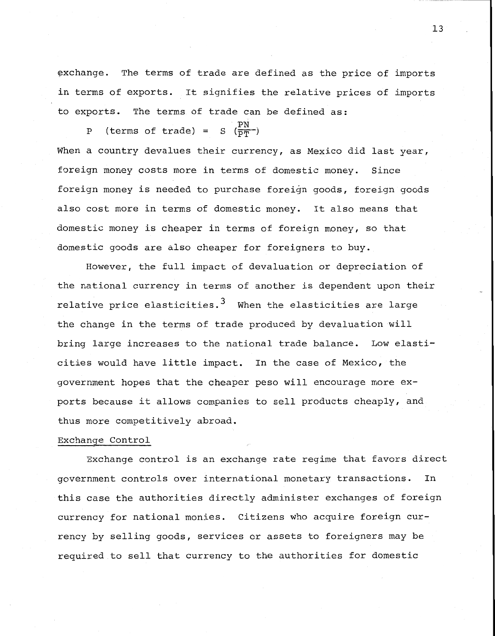exchange. The terms of trade are defined as the price of imports in terms of exports. It signifies the relative prices of imports to exports. The terms of trade can be defined as:

P (terms of trade) =  $S(\frac{PN}{PT})$ When a country devalues their currency, as Mexico did last year, foreign money costs more in terms of domestic money. Since foreign money is needed to purchase foreign goods, foreign goods also cost more in terms of domestic money. It also means that domestic money is cheaper in terms of foreign money, so that domestic goods are also cheaper for foreigners to buy.

However, the full impact of devaluation or depreciation of the national currency in terms of another is dependent upon their relative price elasticities.<sup>3</sup> When the elasticities are large the change in the terms of trade produced by devaluation will bring large increases to the national trade balance. Low elasticities would have little impact. In the case of Mexico, the government hopes that the cheaper peso will encourage more exports because it allows companies to sell products cheaply, and thus more competitively abroad.

#### Exchange Control

Exchange control is an exchange rate regime that favors direct government controls over international monetary transactions. In this case the authorities directly administer exchanges of foreign currency for national monies. Citizens who acquire foreign currency by selling goods, services or assets to foreigners may be required to sell that currency to the authorities for domestic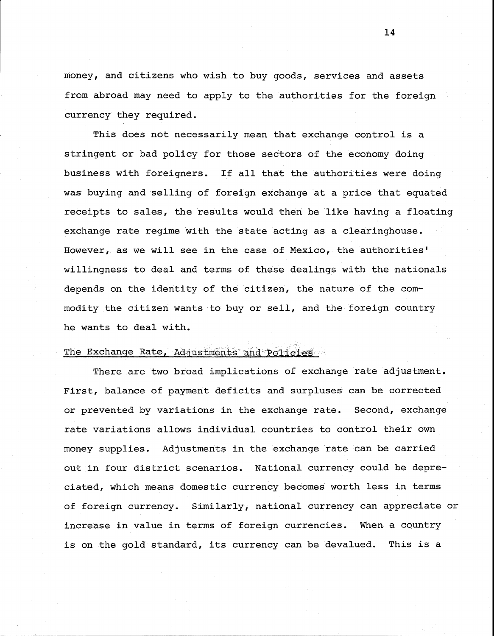money, and citizens who wish to buy goods, services and assets from abroad may need to apply to the authorities for the foreign currency they required.

This does not necessarily mean that exchange control is a stringent or bad policy for those sectors of the economy doing business with foreigners. If all that the authorities were doing was buying and selling of foreign exchange at a price that equated receipts to sales, the results would then be like having a floating exchange rate regime with the state acting as a clearinghouse. However, as we will see in the case of Mexico, the authorities' willingness to deal and terms of these dealings with the nationals depends on the identity of the citizen, the nature of the commodity the citizen wants to buy or sell, and the foreign country he wants to deal with.

## The Exchange Rate, Adjustments and Policies

There are two broad implications of exchange rate adjustment. First, balance of payment deficits and surpluses can be corrected or prevented by variations in the exchange rate. Second, exchange rate variations allows individual countries to control their own money supplies. Adjustments in the exchange rate can be carried out in four district scenarios. National currency could be depreciated, which means domestic currency becomes worth less in terms of foreign currency. Similarly, national currency can appreciate or increase in value in terms of foreign currencies. When a country is on the gold standard, its currency can be devalued. This is a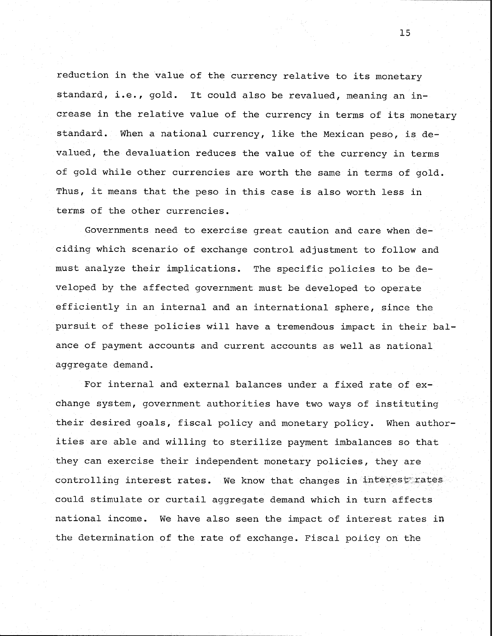reduction in the value of the currency relative to its monetary standard, i.e., gold. It could also be revalued, meaning an increase in the relative value of the currency in terms of its monetary standard. When a national currency, like the Mexican peso, is devalued, the devaluation reduces the value of the currency in terms of gold while other currencies are worth the same in terms of gold. Thus, it means that the peso in this case is also worth less in terms of the other currencies.

Governments need to exercise great caution and care when deciding which scenario of exchange control adjustment to follow and must analyze their implications. The specific policies to be developed by the affected government must be developed to operate efficiently in an internal and an international sphere, since the pursuit of these policies will have a tremendous impact in their balance of payment accounts and current accounts as well as national aggregate demand.

For internal and external balances under a fixed rate of exchange system, government authorities have two ways of instituting their desired goals, fiscal policy and monetary policy. When authorities are able and willing to sterilize payment imbalances so that they can exercise their independent monetary policies, they are controlling interest rates. We know that changes in interest rates could stimulate or curtail aggregate demand which in turn affects national income. We have also seen the impact of interest rates in the determination of the rate of exchange. Fiscal policy on the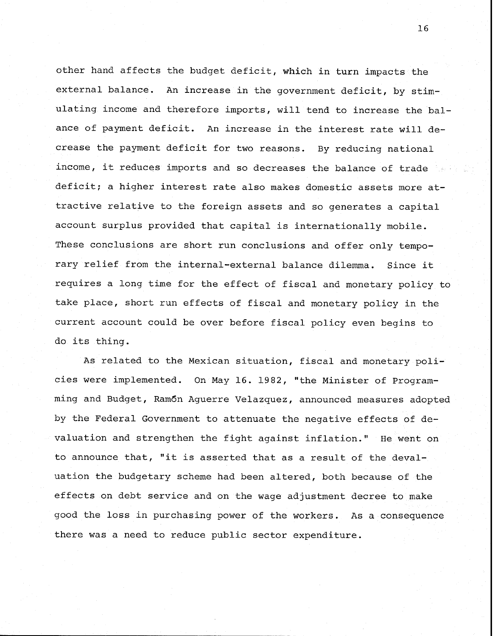other hand affects the budget deficit, which in turn impacts the external balance. An increase in the government deficit, by stimulating income and therefore imports, will tend to increase the balance of payment deficit. An increase in the interest rate will decrease the payment deficit for two reasons. By reducing national income, it reduces imports and so decreases the balance of trade deficit; a higher interest rate also makes domestic assets more attractive relative to the foreign assets and so generates a capital account surplus provided that capital is internationally mobile. These conclusions are short run conclusions and offer only temporary relief from the internal-external balance dilemma. Since it requires a long time for the effect of fiscal and monetary policy to take place, short run effects of fiscal and monetary policy in the current account could be over before fiscal policy even begins to do its thing.

As related to the Mexican situation, fiscal and monetary policies were implemented. On May 16. 1982, "the Minister of Programming and Budget, Ramdn Aguerre Velazquez, announced measures adopted by the Federal Government to attenuate the negative effects of devaluation and strengthen the fight against inflation." He went on to announce that, "it is asserted that as a result of the devaluation the budgetary scheme had been altered, both because of the effects on debt service and on the wage adjustment decree to make good the loss in purchasing power of the workers. As a consequence there was a need to reduce public sector expenditure.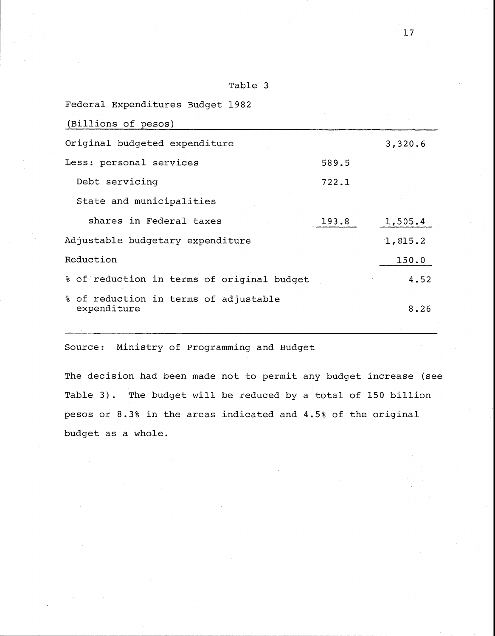| лп<br>'abl |  |
|------------|--|
|------------|--|

| Federal Expenditures Budget 1982                     |       |         |
|------------------------------------------------------|-------|---------|
| (Billions of pesos)                                  |       |         |
| Original budgeted expenditure                        |       | 3,320.6 |
| Less: personal services                              | 589.5 |         |
| Debt servicing                                       | 722.1 |         |
| State and municipalities                             |       |         |
| shares in Federal taxes                              | 193.8 | 1,505.4 |
| Adjustable budgetary expenditure                     |       | 1,815.2 |
| Reduction                                            |       | 150.0   |
| % of reduction in terms of original budget           |       | 4.52    |
| % of reduction in terms of adjustable<br>expenditure |       | 8.26    |
|                                                      |       |         |

Source: Ministry of Programming and Budget

The decision had been made not to permit any budget increase (see Table 3). The budget will be reduced by a total of 150 billion pesos or 8.3% in the areas indicated and 4.5% of the original budget as a whole.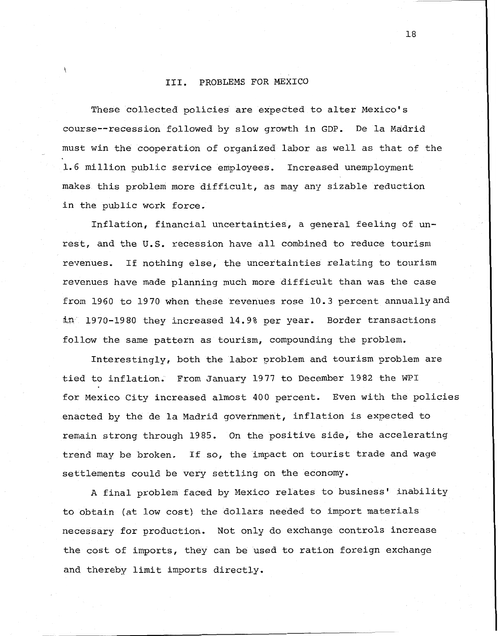#### 111. PROBLEMS FOR MEXICO

These collected policies are expected to alter Mexico's course--recession followed by slow growth in GDP. De la Madrid must win the cooperation of organized labor as well as that of the 1.6 million public service employees. Increased unemployment makes this problem more difficult, as may any sizable reduction in the public work force.

Inflation, financial uncertainties, a general feeling of unrest, and the **U.S.** recession have all combined to reduce tourism revenues, If nothing else, the uncertainties relating to tourism revenues have made planning much more difficult than was the case from 1960 to 1970 when these revenues rose 10.3 percent annuallyand in<sup>7</sup> 1970-1980 they increased 14.9% per year. Border transactions follow the same pattern as tourism, compounding the problem.

Interestingly, both the labor problem and tourism problem are tied to inflation. From January 1977 to December 1982 the WPI for Mexico City increased almost 400 percent. Even with the policies enacted by the de la Madrid government, inflation is expected to remain strong through 1985. On the positive side, the accelerating trend may be broken. If so, the impact on tourist trade and wage settlements could be very settling on the economy.

A final problem faced by Mexico relates to business' inability to obtain (at low cost) the dollars needed to import materials necessary for production. Not only do exchange controls increase the cost of imports, they can be used to ration foreign exchange and thereby limit imports directly.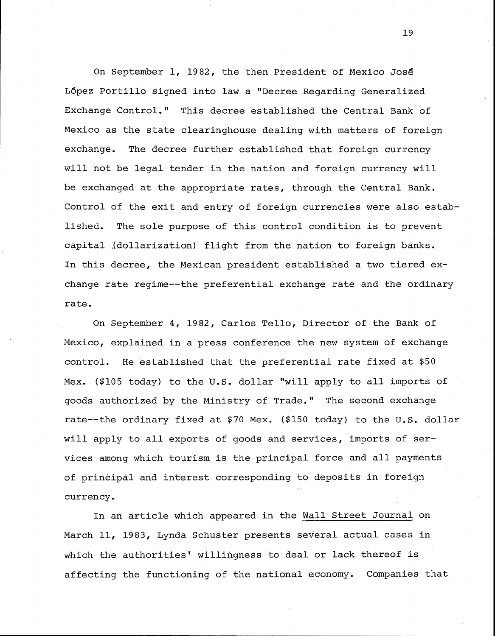On September 1, 1982, the then President of Mexico Jos6 López Portillo signed into law a "Decree Regarding Generalized Exchange Control." This decree established the Central Bank of Mexico as the state clearinghouse dealing with matters of foreign exchange. The decree further established that foreign currency will not be legal tender in the nation and foreign currency will be exchanged at the appropriate rates, through the Central Bank. Control of the exit and entry of foreign currencies were also established. The sole purpose of this control condition is to prevent capital (dollarization) flight from the nation to foreign banks. In this decree, the Mexican president established a two tiered exchange rate regime--the preferential exchange rate and the ordinary rate.

On September 4, 1982, Carlos Tello, Director of the Bank of Mexico, explained in a press conference the new system of exchange control. He established that the preferential rate fixed at \$50 Mex. (\$105 today) to the U.S. dollar "will apply to all imports of goods authorized by the Ministry of Trade." The second exchange rate--the ordinary fixed at \$70 Mex. (\$150 today) to the U.S. dollar will apply to all exports of goods and services, imports of services among which tourism is the principal force and all payments of principal and interest corresponding to deposits in foreign currency.

In an article which appeared in the Wall Street Journal on March 11, 1983, Lynda Schuster presents several actual cases in which the authorities<sup>t</sup> willingness to deal or lack thereof is affecting the functioning of the national economy. Companies that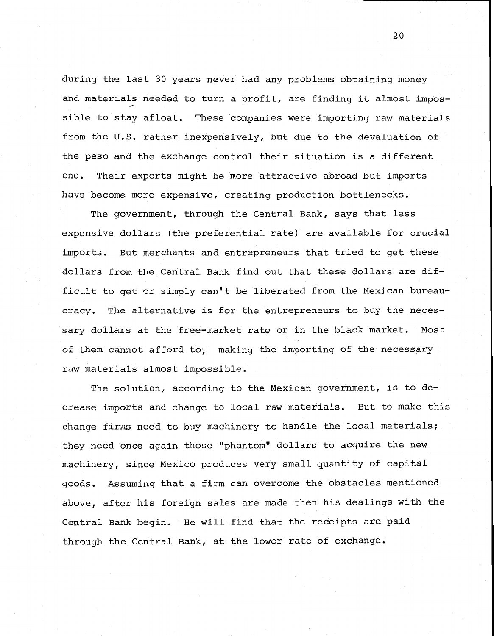during the last 30 years never had any problems obtaining money and materials needed to turn a profit, are finding it almost impossible to stay afloat. These companies were importing raw materials from the U.S. rather inexpensively, but due to the devaluation of the peso and the exchange control their situation is a different one. Their exports might be more attractive abroad but imports have become more expensive, creating production bottlenecks.

The government, through the Central Bank, says that less expensive dollars (the preferential rate) are available for crucial imports. But merchants and entrepreneurs that tried to get these dollars from the Central Bank find out that these dollars are difficult to get or simply can't be liberated from the Mexican bureaucracy. The alternative is for the entrepreneurs to buy the necessary dollars at the free-market rate or in the black market. Most of them cannot afford to, making the importing of the necessary raw materials almost impossible.

The solution, according to the Mexican government, is to decrease imports and change to local raw materials. But to make this change firms need to buy machinery to handle the local materials; they need once again those "phantom" dollars to acquire the new machinery, since Mexico produces very small quantity of capital goods. Assuming that a firm can overcome the obstacles mentioned above, after his foreign sales are made then his dealings with the Central Bank begin, He will find that the receipts are paid through the Central Bank, at the lower rate of exchange.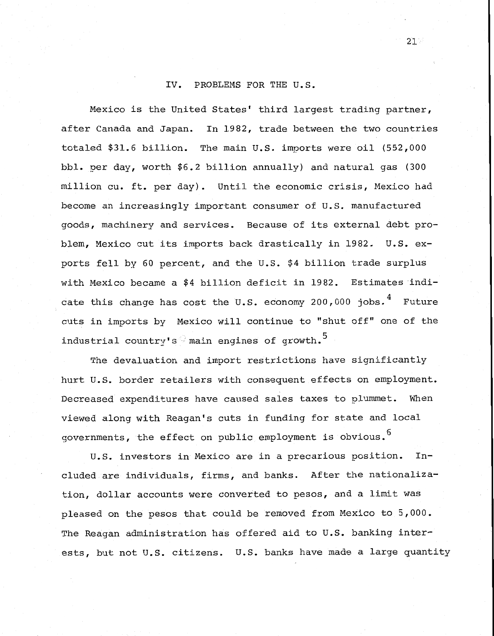## IV. PROBLEMS FOR THE U.S.

Mexico is the United States' third largest trading partner, after Canada and Japan. In 1982, trade between the two countries totaled \$31.6 billion. The main U.S. imports were oil (552,000 bbl. per day, worth \$6.2 billion annually) and natural gas (300 million cu. ft. per day). Until the economic crisis, Mexico had become an increasingly important consumer of U.S. manufactured goods, machinery and services. Because of its external debt problem, Mexico cut its imports back drastically in 1982. U.S. exports fell by 60 percent, and the U.S. \$4 billion trade surplus with Mexico became a \$4 billion deficit in 1982. Estimates indicate this change has cost the U.S. economy 200,000 jobs.  $4$  Future cuts in imports by Mexico will continue to "shut off" one of the industrial country's main engines of growth.<sup>5</sup>

The devaluation and import restrictions have significantly hurt U.S. border retailers with consequent effects on employment. Decreased expenditures have caused sales taxes to plummet. When viewed along with Reagan's cuts in funding for state and local governments, the effect on public employment is obvious. 6

U.S. investors in Mexico are in a precarious position. Included are individuals, firms, and banks. After the nationalization, dollar accounts were converted to pesos, and a limit was pleased on the pesos that could be removed from Mexico to 5,000. The Reagan administration has offered aid to U.S. banking interests, but not U.S. citizens. U.S. banks have made a large quantity

 $21<sup>1</sup>$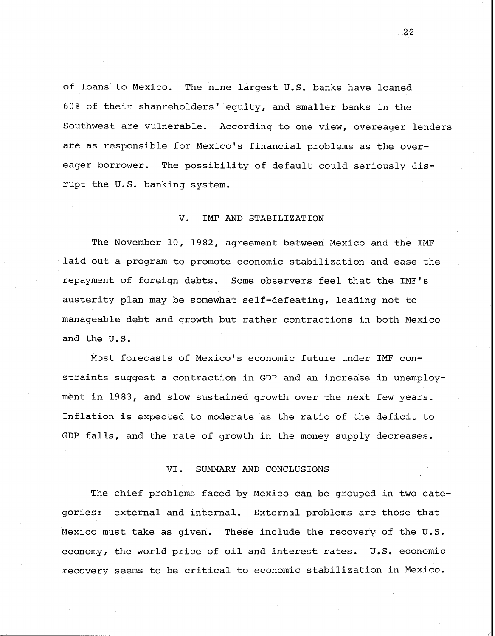of loans to Mexico. The nine largest U.S. banks have loaned 60% of their shanreholders<sup> $\mathbf{r}$ </sup> equity, and smaller banks in the Southwest are vulnerable. According to one view, overeager lenders are as responsible for Mexico's financial problems as the overeager borrower. The possibility of default could seriously disrupt the U.S. banking system.

#### V. IMF AND STABILIZATION

The November 10, 1982, agreement between Mexico and the IMF laid out a program to promote economic stabilization and ease the repayment of foreign debts. Some observers feel that the IMF's austerity plan may be somewhat self-defeating, leading not to manageable debt and growth but rather contractions in both Mexico and the U.S.

Most forecasts of Mexico's economic future under IMF constraints suggest a contraction in GDP and an increase in unemployment in 1983, and slow sustained growth over the next few years. Inflation is expected to moderate as the ratio of the deficit to GDP falls, and the rate of growth in the money supply decreases.

## VI. SUMMARY AND CONCLUSIONS

The chief problems faced by Mexico can be grouped in two categories: external and inbernal. External problems are those that Mexico must take as given. These include the recovery of the U.S. economy, the world price of oil and interest rates. U.S. economic recovery seems to be critical to economic stabilization in Mexico.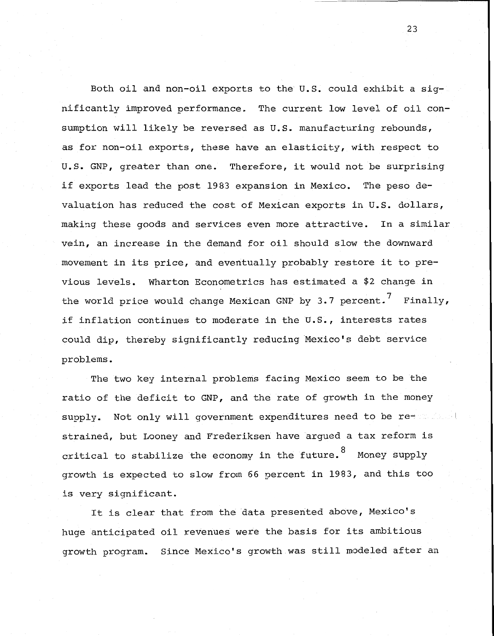Both oil and non-oil exports to the U.S. could exhibit a significantly improved performance. The current low level of oil consumption will likely be reversed as U.S. manufacturing rebounds, as for non-oil exports, these have an elasticity, with respect to U.S. GNP, greater than one. Therefore, it would not be surprising if exports lead the post 1983 expansion in Mexico. The peso devaluation has reduced the cost of Mexican exports in U.S. dollars, making these goods and services even more attractive. In a similar vein, an increase in the demand for oil should slow the downward movement in its price, and eventually probably restore it to previous levels. Wharton Econometrics has estimated a \$2 change in the world price would change Mexican GNP by 3.7 percent.<sup>7</sup> Finally, if inflation continues to moderate in the U.S., interests rates could dip, thereby significantly reducing Mexico's debt service problems.

The two key internal problems facing Mexico seem to be the ratio of the deficit to GNP, and the rate of growth in the money supply. Not only will government expenditures need to be restrained, but Looney and Frederiksen have argued a tax reform is critical to stabilize the economy in the future.  $8$  Money supply growth is expected to slow from 66 percent in 1983, and this too is very significant.

It is clear that from the data presented above, Mexico's huge anticipated oil revenues were the basis for its ambitious growth program. Since Mexico's growth was still modeled after an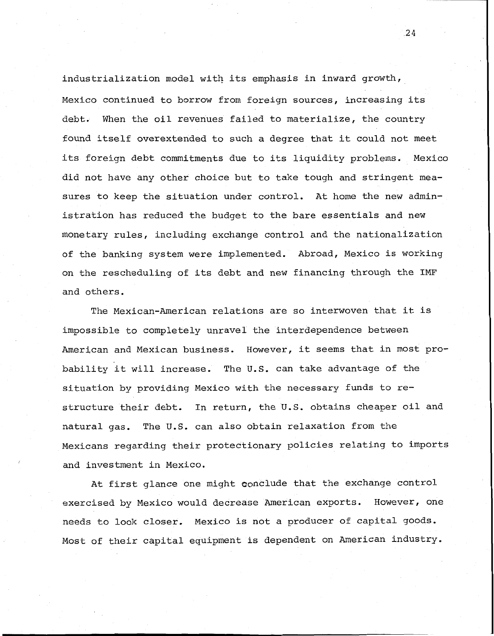industrialization model with its emphasis in inward growth, Mexico continued to borrow from foreign sources, increasing its debt, When the oil revenues failed to materialize, the country found itself overextended to such a degree that it could not meet its foreign debt commitments due to its liquidity problems. Mexico did not have any other choice but to take tough and stringent measures to keep the situation under control. At home the new administration has reduced the budget to the bare essentials and new monetary rules, including exchange control and the nationalization of the banking system were implemented. Abroad, Mexico is working on the rescheduling of its debt and new financing through the IMF and others.

The Mexican-American relations are so interwoven that it is impossible to completely unravel the interdependence between American and Mexican business. However, it seems that in most probability it will increase. The U.S. can take advantage of the situation by providing Mexico with the necessary funds to restructure their debt. In return, the U.S. obtains cheaper oil and natural gas. The U.S. can also obtain relaxation from the Mexicans regarding their protectionary policies relating to imports and investment in Mexico.

At first glance one might conclude that the exchange control exercised by Mexico would decrease American exports. However, one needs to look closer, Mexico is not a producer of capital goods. Most of their capital equipment is dependent on American industry.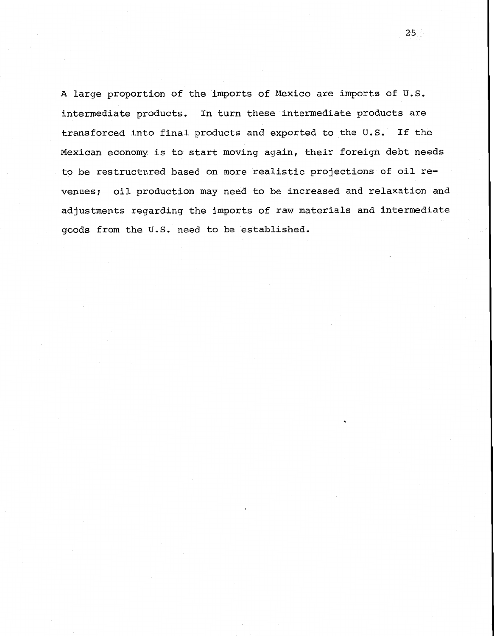A large proportion of the imports of Mexico are imports of U.S. intermediate products. In turn these intermediate products are transforced into final products and exported to the U.S. If the Mexican economy is to start moving again, their foreign debt needs to be restructured based on more realistic projections of oil revenues; oil production may need to be increased and relaxation and adjustments regarding the imports of raw materials and intermediate goods from the U.S. need to be established.